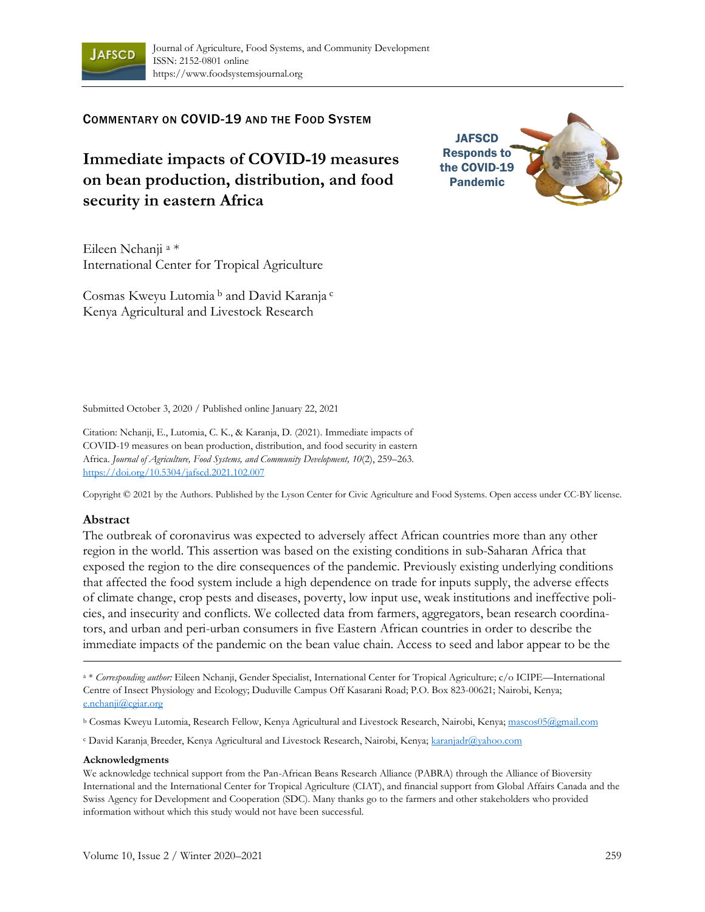

COMMENTARY ON COVID-19 AND THE FOOD SYSTEM

**Immediate impacts of COVID-19 measures on bean production, distribution, and food security in eastern Africa**

**JAFSCD** Responds to the COVID-19 Pandemic

Eileen Nchanji <sup>a</sup> \* International Center for Tropical Agriculture

Cosmas Kweyu Lutomia <sup>b</sup> and David Karanja <sup>c</sup> Kenya Agricultural and Livestock Research

Submitted October 3, 2020 / Published online January 22, 2021

Citation: Nchanji, E., Lutomia, C. K., & Karanja, D. (2021). Immediate impacts of COVID-19 measures on bean production, distribution, and food security in eastern Africa. *Journal of Agriculture, Food Systems, and Community Development, 10*(2), 259–263. https://doi.org/10.5304/jafscd.2021.102.007

Copyright © 2021 by the Authors. Published by the Lyson Center for Civic Agriculture and Food Systems. Open access under CC-BY license.

#### **Abstract**

The outbreak of coronavirus was expected to adversely affect African countries more than any other region in the world. This assertion was based on the existing conditions in sub-Saharan Africa that exposed the region to the dire consequences of the pandemic. Previously existing underlying conditions that affected the food system include a high dependence on trade for inputs supply, the adverse effects of climate change, crop pests and diseases, poverty, low input use, weak institutions and ineffective policies, and insecurity and conflicts. We collected data from farmers, aggregators, bean research coordinators, and urban and peri-urban consumers in five Eastern African countries in order to describe the immediate impacts of the pandemic on the bean value chain. Access to seed and labor appear to be the

<sup>c</sup> David Karanja, Breeder, Kenya Agricultural and Livestock Research, Nairobi, Kenya; karanjadr@yahoo.com

#### **Acknowledgments**

We acknowledge technical support from the Pan-African Beans Research Alliance (PABRA) through the Alliance of Bioversity International and the International Center for Tropical Agriculture (CIAT), and financial support from Global Affairs Canada and the Swiss Agency for Development and Cooperation (SDC). Many thanks go to the farmers and other stakeholders who provided information without which this study would not have been successful.

<sup>a</sup> \* *Corresponding author:* Eileen Nchanji, Gender Specialist, International Center for Tropical Agriculture; c/o ICIPE—International Centre of Insect Physiology and Ecology; Duduville Campus Off Kasarani Road; P.O. Box 823-00621; Nairobi, Kenya; e.nchanji@cgiar.org

<sup>b</sup> Cosmas Kweyu Lutomia, Research Fellow, Kenya Agricultural and Livestock Research, Nairobi, Kenya; mascos05@gmail.com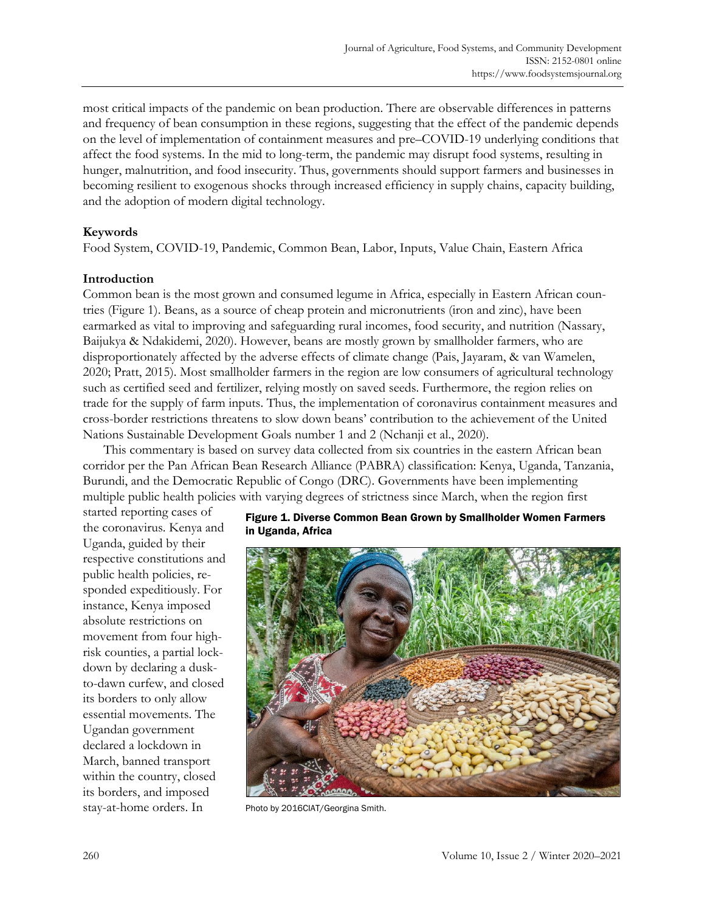most critical impacts of the pandemic on bean production. There are observable differences in patterns and frequency of bean consumption in these regions, suggesting that the effect of the pandemic depends on the level of implementation of containment measures and pre–COVID-19 underlying conditions that affect the food systems. In the mid to long-term, the pandemic may disrupt food systems, resulting in hunger, malnutrition, and food insecurity. Thus, governments should support farmers and businesses in becoming resilient to exogenous shocks through increased efficiency in supply chains, capacity building, and the adoption of modern digital technology.

## **Keywords**

Food System, COVID-19, Pandemic, Common Bean, Labor, Inputs, Value Chain, Eastern Africa

### **Introduction**

Common bean is the most grown and consumed legume in Africa, especially in Eastern African countries (Figure 1). Beans, as a source of cheap protein and micronutrients (iron and zinc), have been earmarked as vital to improving and safeguarding rural incomes, food security, and nutrition (Nassary, Baijukya & Ndakidemi, 2020). However, beans are mostly grown by smallholder farmers, who are disproportionately affected by the adverse effects of climate change (Pais, Jayaram, & van Wamelen, 2020; Pratt, 2015). Most smallholder farmers in the region are low consumers of agricultural technology such as certified seed and fertilizer, relying mostly on saved seeds. Furthermore, the region relies on trade for the supply of farm inputs. Thus, the implementation of coronavirus containment measures and cross-border restrictions threatens to slow down beans' contribution to the achievement of the United Nations Sustainable Development Goals number 1 and 2 (Nchanji et al., 2020).

This commentary is based on survey data collected from six countries in the eastern African bean corridor per the Pan African Bean Research Alliance (PABRA) classification: Kenya, Uganda, Tanzania, Burundi, and the Democratic Republic of Congo (DRC). Governments have been implementing multiple public health policies with varying degrees of strictness since March, when the region first

started reporting cases of the coronavirus. Kenya and Uganda, guided by their respective constitutions and public health policies, responded expeditiously. For instance, Kenya imposed absolute restrictions on movement from four highrisk counties, a partial lockdown by declaring a duskto-dawn curfew, and closed its borders to only allow essential movements. The Ugandan government declared a lockdown in March, banned transport within the country, closed its borders, and imposed stay-at-home orders. In Photo by 2016CIAT/Georgina Smith.

#### Figure 1. Diverse Common Bean Grown by Smallholder Women Farmers in Uganda, Africa

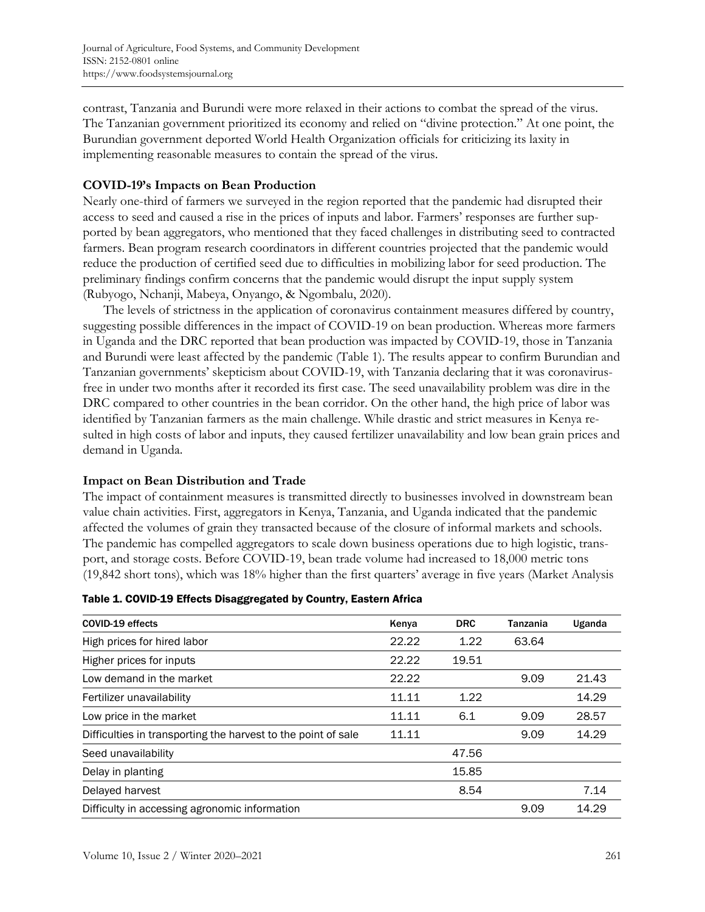contrast, Tanzania and Burundi were more relaxed in their actions to combat the spread of the virus. The Tanzanian government prioritized its economy and relied on "divine protection." At one point, the Burundian government deported World Health Organization officials for criticizing its laxity in implementing reasonable measures to contain the spread of the virus.

# **COVID-19's Impacts on Bean Production**

Nearly one-third of farmers we surveyed in the region reported that the pandemic had disrupted their access to seed and caused a rise in the prices of inputs and labor. Farmers' responses are further supported by bean aggregators, who mentioned that they faced challenges in distributing seed to contracted farmers. Bean program research coordinators in different countries projected that the pandemic would reduce the production of certified seed due to difficulties in mobilizing labor for seed production. The preliminary findings confirm concerns that the pandemic would disrupt the input supply system (Rubyogo, Nchanji, Mabeya, Onyango, & Ngombalu, 2020).

The levels of strictness in the application of coronavirus containment measures differed by country, suggesting possible differences in the impact of COVID-19 on bean production. Whereas more farmers in Uganda and the DRC reported that bean production was impacted by COVID-19, those in Tanzania and Burundi were least affected by the pandemic (Table 1). The results appear to confirm Burundian and Tanzanian governments' skepticism about COVID-19, with Tanzania declaring that it was coronavirusfree in under two months after it recorded its first case. The seed unavailability problem was dire in the DRC compared to other countries in the bean corridor. On the other hand, the high price of labor was identified by Tanzanian farmers as the main challenge. While drastic and strict measures in Kenya resulted in high costs of labor and inputs, they caused fertilizer unavailability and low bean grain prices and demand in Uganda.

## **Impact on Bean Distribution and Trade**

The impact of containment measures is transmitted directly to businesses involved in downstream bean value chain activities. First, aggregators in Kenya, Tanzania, and Uganda indicated that the pandemic affected the volumes of grain they transacted because of the closure of informal markets and schools. The pandemic has compelled aggregators to scale down business operations due to high logistic, transport, and storage costs. Before COVID-19, bean trade volume had increased to 18,000 metric tons (19,842 short tons), which was 18% higher than the first quarters' average in five years (Market Analysis

| COVID-19 effects                                              | <b>DRC</b><br>Kenya |       | <b>Tanzania</b> | Uganda |  |
|---------------------------------------------------------------|---------------------|-------|-----------------|--------|--|
| High prices for hired labor                                   | 22.22               | 1.22  | 63.64           |        |  |
| Higher prices for inputs                                      | 22.22               | 19.51 |                 |        |  |
| Low demand in the market                                      | 22.22               |       | 9.09            | 21.43  |  |
| Fertilizer unavailability                                     | 11.11               | 1.22  |                 | 14.29  |  |
| Low price in the market                                       | 11.11               | 6.1   | 9.09            | 28.57  |  |
| Difficulties in transporting the harvest to the point of sale | 11.11               |       | 9.09            | 14.29  |  |
| Seed unavailability                                           |                     | 47.56 |                 |        |  |
| Delay in planting                                             |                     | 15.85 |                 |        |  |
| Delayed harvest                                               |                     | 8.54  |                 | 7.14   |  |
| Difficulty in accessing agronomic information                 |                     |       | 9.09            | 14.29  |  |

| Table 1. COVID-19 Effects Disaggregated by Country, Eastern Africa |
|--------------------------------------------------------------------|
|--------------------------------------------------------------------|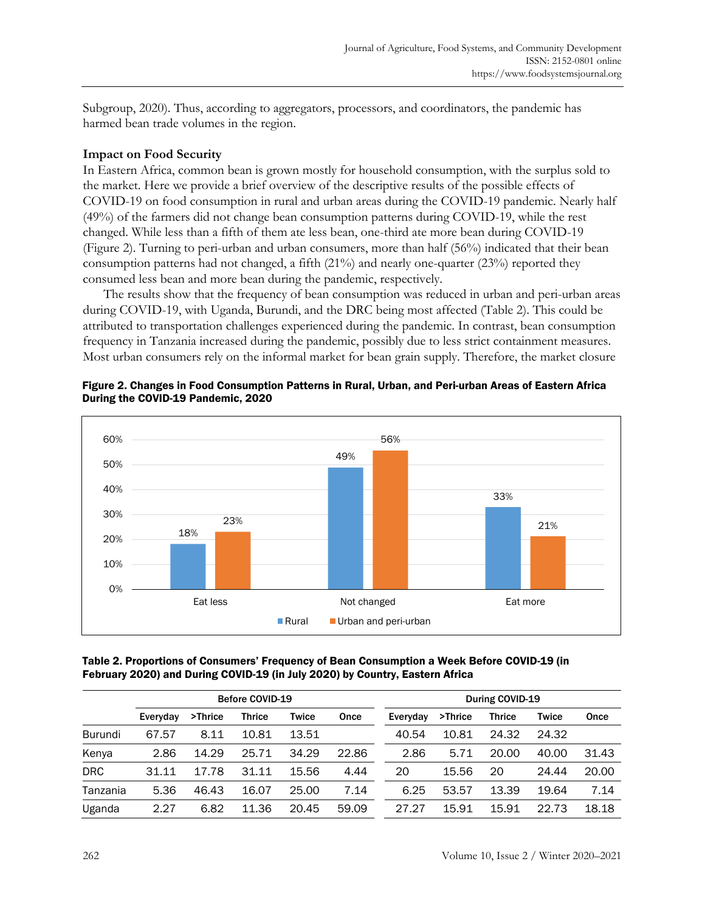Subgroup, 2020). Thus, according to aggregators, processors, and coordinators, the pandemic has harmed bean trade volumes in the region.

## **Impact on Food Security**

In Eastern Africa, common bean is grown mostly for household consumption, with the surplus sold to the market. Here we provide a brief overview of the descriptive results of the possible effects of COVID-19 on food consumption in rural and urban areas during the COVID-19 pandemic. Nearly half (49%) of the farmers did not change bean consumption patterns during COVID-19, while the rest changed. While less than a fifth of them ate less bean, one-third ate more bean during COVID-19 (Figure 2). Turning to peri-urban and urban consumers, more than half (56%) indicated that their bean consumption patterns had not changed, a fifth  $(21\%)$  and nearly one-quarter  $(23\%)$  reported they consumed less bean and more bean during the pandemic, respectively.

The results show that the frequency of bean consumption was reduced in urban and peri-urban areas during COVID-19, with Uganda, Burundi, and the DRC being most affected (Table 2). This could be attributed to transportation challenges experienced during the pandemic. In contrast, bean consumption frequency in Tanzania increased during the pandemic, possibly due to less strict containment measures. Most urban consumers rely on the informal market for bean grain supply. Therefore, the market closure



Figure 2. Changes in Food Consumption Patterns in Rural, Urban, and Peri-urban Areas of Eastern Africa During the COVID-19 Pandemic, 2020

### Table 2. Proportions of Consumers' Frequency of Bean Consumption a Week Before COVID-19 (in February 2020) and During COVID-19 (in July 2020) by Country, Eastern Africa

|            | <b>Before COVID-19</b> |         |               |       | During COVID-19 |          |         |               |       |       |
|------------|------------------------|---------|---------------|-------|-----------------|----------|---------|---------------|-------|-------|
|            | Everyday               | >Thrice | <b>Thrice</b> | Twice | Once            | Everyday | >Thrice | <b>Thrice</b> | Twice | Once  |
| Burundi    | 67.57                  | 8.11    | 10.81         | 13.51 |                 | 40.54    | 10.81   | 24.32         | 24.32 |       |
| Kenya      | 2.86                   | 14.29   | 25.71         | 34.29 | 22.86           | 2.86     | 5.71    | 20.00         | 40.00 | 31.43 |
| <b>DRC</b> | 31.11                  | 17.78   | 31.11         | 15.56 | 4.44            | 20       | 15.56   | 20            | 24.44 | 20.00 |
| Tanzania   | 5.36                   | 46.43   | 16.07         | 25.00 | 7.14            | 6.25     | 53.57   | 13.39         | 19.64 | 7.14  |
| Uganda     | 2.27                   | 6.82    | 11.36         | 20.45 | 59.09           | 27.27    | 15.91   | 15.91         | 22.73 | 18.18 |